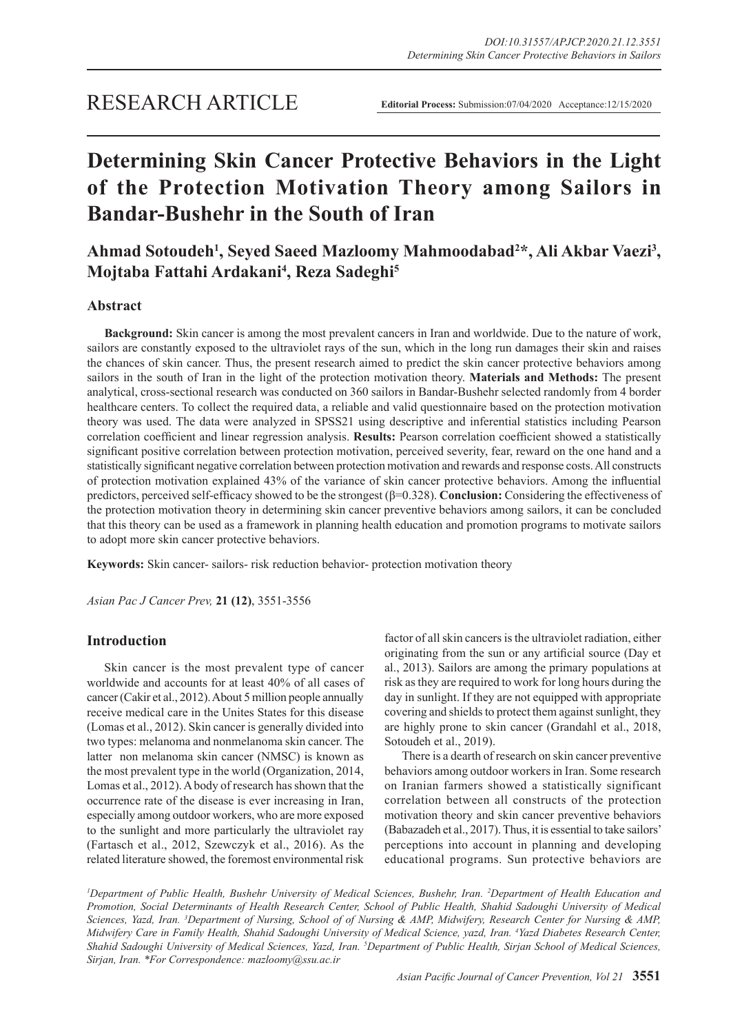# **Determining Skin Cancer Protective Behaviors in the Light of the Protection Motivation Theory among Sailors in Bandar-Bushehr in the South of Iran**

## Ahmad Sotoudeh<sup>1</sup>, Seyed Saeed Mazloomy Mahmoodabad<sup>2</sup>\*, Ali Akbar Vaezi<sup>3</sup>, **Mojtaba Fattahi Ardakani4 , Reza Sadeghi5**

## **Abstract**

**Background:** Skin cancer is among the most prevalent cancers in Iran and worldwide. Due to the nature of work, sailors are constantly exposed to the ultraviolet rays of the sun, which in the long run damages their skin and raises the chances of skin cancer. Thus, the present research aimed to predict the skin cancer protective behaviors among sailors in the south of Iran in the light of the protection motivation theory. **Materials and Methods:** The present analytical, cross-sectional research was conducted on 360 sailors in Bandar-Bushehr selected randomly from 4 border healthcare centers. To collect the required data, a reliable and valid questionnaire based on the protection motivation theory was used. The data were analyzed in SPSS21 using descriptive and inferential statistics including Pearson correlation coefficient and linear regression analysis. **Results:** Pearson correlation coefficient showed a statistically significant positive correlation between protection motivation, perceived severity, fear, reward on the one hand and a statistically significant negative correlation between protection motivation and rewards and response costs. All constructs of protection motivation explained 43% of the variance of skin cancer protective behaviors. Among the influential predictors, perceived self-efficacy showed to be the strongest (β=0.328). **Conclusion:** Considering the effectiveness of the protection motivation theory in determining skin cancer preventive behaviors among sailors, it can be concluded that this theory can be used as a framework in planning health education and promotion programs to motivate sailors to adopt more skin cancer protective behaviors.

**Keywords:** Skin cancer- sailors- risk reduction behavior- protection motivation theory

*Asian Pac J Cancer Prev,* **21 (12)**, 3551-3556

## **Introduction**

Skin cancer is the most prevalent type of cancer worldwide and accounts for at least 40% of all cases of cancer (Cakir et al., 2012). About 5 million people annually receive medical care in the Unites States for this disease (Lomas et al., 2012). Skin cancer is generally divided into two types: melanoma and nonmelanoma skin cancer. The latter non melanoma skin cancer (NMSC) is known as the most prevalent type in the world (Organization, 2014, Lomas et al., 2012). A body of research has shown that the occurrence rate of the disease is ever increasing in Iran, especially among outdoor workers, who are more exposed to the sunlight and more particularly the ultraviolet ray (Fartasch et al., 2012, Szewczyk et al., 2016). As the related literature showed, the foremost environmental risk

factor of all skin cancers is the ultraviolet radiation, either originating from the sun or any artificial source (Day et al., 2013). Sailors are among the primary populations at risk as they are required to work for long hours during the day in sunlight. If they are not equipped with appropriate covering and shields to protect them against sunlight, they are highly prone to skin cancer (Grandahl et al., 2018, Sotoudeh et al., 2019).

There is a dearth of research on skin cancer preventive behaviors among outdoor workers in Iran. Some research on Iranian farmers showed a statistically significant correlation between all constructs of the protection motivation theory and skin cancer preventive behaviors (Babazadeh et al., 2017). Thus, it is essential to take sailors' perceptions into account in planning and developing educational programs. Sun protective behaviors are

*1 Department of Public Health, Bushehr University of Medical Sciences, Bushehr, Iran. 2 Department of Health Education and Promotion, Social Determinants of Health Research Center, School of Public Health, Shahid Sadoughi University of Medical*  Sciences, Yazd, Iran. <sup>3</sup>Department of Nursing, School of of Nursing & AMP, Midwifery, Research Center for Nursing & AMP, *Midwifery Care in Family Health, Shahid Sadoughi University of Medical Science, yazd, Iran. 4 Yazd Diabetes Research Center, Shahid Sadoughi University of Medical Sciences, Yazd, Iran. 5 Department of Public Health, Sirjan School of Medical Sciences, Sirjan, Iran. \*For Correspondence: mazloomy@ssu.ac.ir*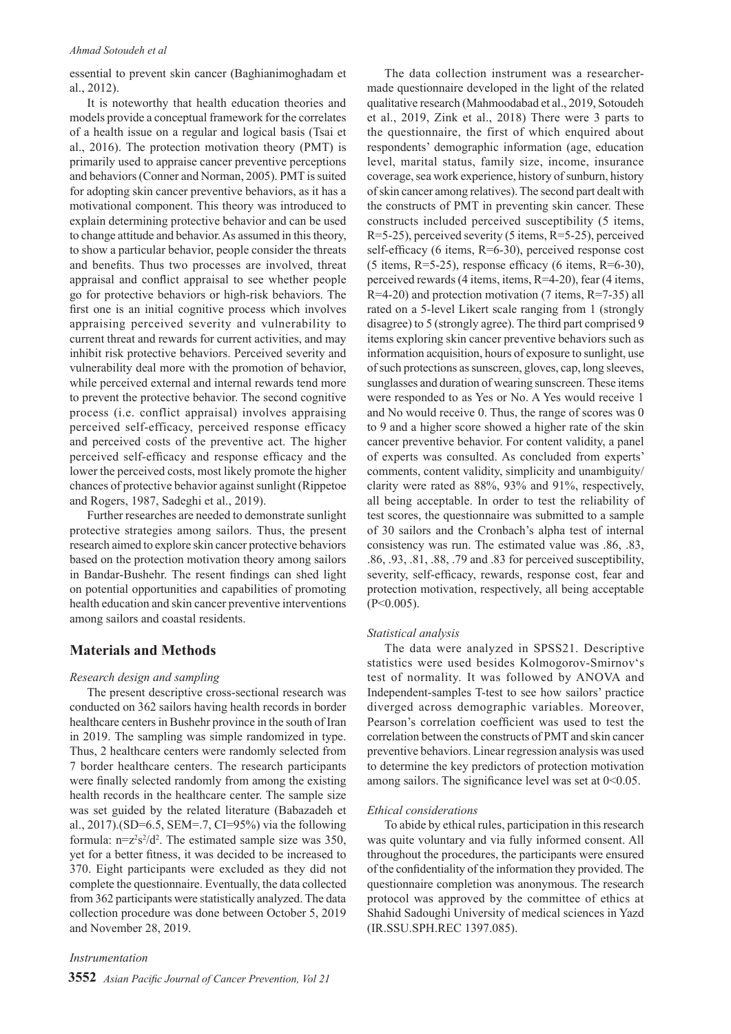#### *Ahmad Sotoudeh et al*

essential to prevent skin cancer (Baghianimoghadam et al., 2012).

It is noteworthy that health education theories and models provide a conceptual framework for the correlates of a health issue on a regular and logical basis (Tsai et al., 2016). The protection motivation theory (PMT) is primarily used to appraise cancer preventive perceptions and behaviors (Conner and Norman, 2005). PMT is suited for adopting skin cancer preventive behaviors, as it has a motivational component. This theory was introduced to explain determining protective behavior and can be used to change attitude and behavior. As assumed in this theory, to show a particular behavior, people consider the threats and benefits. Thus two processes are involved, threat appraisal and conflict appraisal to see whether people go for protective behaviors or high-risk behaviors. The first one is an initial cognitive process which involves appraising perceived severity and vulnerability to current threat and rewards for current activities, and may inhibit risk protective behaviors. Perceived severity and vulnerability deal more with the promotion of behavior, while perceived external and internal rewards tend more to prevent the protective behavior. The second cognitive process (i.e. conflict appraisal) involves appraising perceived self-efficacy, perceived response efficacy and perceived costs of the preventive act. The higher perceived self-efficacy and response efficacy and the lower the perceived costs, most likely promote the higher chances of protective behavior against sunlight (Rippetoe and Rogers, 1987, Sadeghi et al., 2019).

Further researches are needed to demonstrate sunlight protective strategies among sailors. Thus, the present research aimed to explore skin cancer protective behaviors based on the protection motivation theory among sailors in Bandar-Bushehr. The resent findings can shed light on potential opportunities and capabilities of promoting health education and skin cancer preventive interventions among sailors and coastal residents.

## **Materials and Methods**

#### *Research design and sampling*

The present descriptive cross-sectional research was conducted on 362 sailors having health records in border healthcare centers in Bushehr province in the south of Iran in 2019. The sampling was simple randomized in type. Thus, 2 healthcare centers were randomly selected from 7 border healthcare centers. The research participants were finally selected randomly from among the existing health records in the healthcare center. The sample size was set guided by the related literature (Babazadeh et al., 2017).(SD=6.5, SEM=.7, CI=95%) via the following formula:  $n = z^2 s^2 / d^2$ . The estimated sample size was 350, yet for a better fitness, it was decided to be increased to 370. Eight participants were excluded as they did not complete the questionnaire. Eventually, the data collected from 362 participants were statistically analyzed. The data collection procedure was done between October 5, 2019 and November 28, 2019.

*Instrumentation*

The data collection instrument was a researchermade questionnaire developed in the light of the related qualitative research (Mahmoodabad et al., 2019, Sotoudeh et al., 2019, Zink et al., 2018) There were 3 parts to the questionnaire, the first of which enquired about respondents' demographic information (age, education level, marital status, family size, income, insurance coverage, sea work experience, history of sunburn, history of skin cancer among relatives). The second part dealt with the constructs of PMT in preventing skin cancer. These constructs included perceived susceptibility (5 items, R=5-25), perceived severity (5 items, R=5-25), perceived self-efficacy (6 items, R=6-30), perceived response cost  $(5 \text{ items}, R=5-25)$ , response efficacy  $(6 \text{ items}, R=6-30)$ , perceived rewards (4 items, items, R=4-20), fear (4 items,  $R=4-20$ ) and protection motivation (7 items,  $R=7-35$ ) all rated on a 5-level Likert scale ranging from 1 (strongly disagree) to 5 (strongly agree). The third part comprised 9 items exploring skin cancer preventive behaviors such as information acquisition, hours of exposure to sunlight, use of such protections as sunscreen, gloves, cap, long sleeves, sunglasses and duration of wearing sunscreen. These items were responded to as Yes or No. A Yes would receive 1 and No would receive 0. Thus, the range of scores was 0 to 9 and a higher score showed a higher rate of the skin cancer preventive behavior. For content validity, a panel of experts was consulted. As concluded from experts' comments, content validity, simplicity and unambiguity/ clarity were rated as 88%, 93% and 91%, respectively, all being acceptable. In order to test the reliability of test scores, the questionnaire was submitted to a sample of 30 sailors and the Cronbach's alpha test of internal consistency was run. The estimated value was .86, .83, .86, .93, .81, .88, .79 and .83 for perceived susceptibility, severity, self-efficacy, rewards, response cost, fear and protection motivation, respectively, all being acceptable  $(P<0.005)$ .

#### *Statistical analysis*

The data were analyzed in SPSS21. Descriptive statistics were used besides Kolmogorov-Smirnov's test of normality. It was followed by ANOVA and Independent-samples T-test to see how sailors' practice diverged across demographic variables. Moreover, Pearson's correlation coefficient was used to test the correlation between the constructs of PMT and skin cancer preventive behaviors. Linear regression analysis was used to determine the key predictors of protection motivation among sailors. The significance level was set at  $0<0.05$ .

#### *Ethical considerations*

To abide by ethical rules, participation in this research was quite voluntary and via fully informed consent. All throughout the procedures, the participants were ensured of the confidentiality of the information they provided. The questionnaire completion was anonymous. The research protocol was approved by the committee of ethics at Shahid Sadoughi University of medical sciences in Yazd (IR.SSU.SPH.REC 1397.085).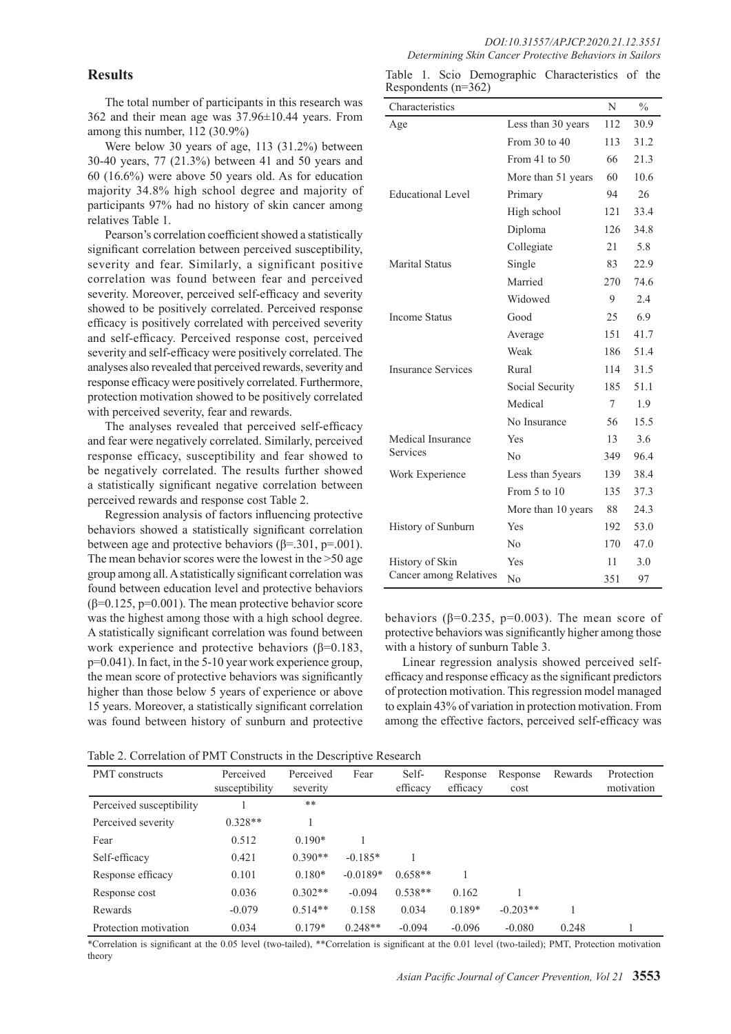## **Results**

The total number of participants in this research was 362 and their mean age was 37.96±10.44 years. From among this number, 112 (30.9%)

Were below 30 years of age, 113 (31.2%) between 30-40 years, 77 (21.3%) between 41 and 50 years and 60 (16.6%) were above 50 years old. As for education majority 34.8% high school degree and majority of participants 97% had no history of skin cancer among relatives Table 1.

Pearson's correlation coefficient showed a statistically significant correlation between perceived susceptibility, severity and fear. Similarly, a significant positive correlation was found between fear and perceived severity. Moreover, perceived self-efficacy and severity showed to be positively correlated. Perceived response efficacy is positively correlated with perceived severity and self-efficacy. Perceived response cost, perceived severity and self-efficacy were positively correlated. The analyses also revealed that perceived rewards, severity and response efficacy were positively correlated. Furthermore, protection motivation showed to be positively correlated with perceived severity, fear and rewards.

The analyses revealed that perceived self-efficacy and fear were negatively correlated. Similarly, perceived response efficacy, susceptibility and fear showed to be negatively correlated. The results further showed a statistically significant negative correlation between perceived rewards and response cost Table 2.

Regression analysis of factors influencing protective behaviors showed a statistically significant correlation between age and protective behaviors ( $\beta$ =.301, p=.001). The mean behavior scores were the lowest in the >50 age group among all. A statistically significant correlation was found between education level and protective behaviors  $(\beta=0.125, p=0.001)$ . The mean protective behavior score was the highest among those with a high school degree. A statistically significant correlation was found between work experience and protective behaviors ( $\beta$ =0.183, p=0.041). In fact, in the 5-10 year work experience group, the mean score of protective behaviors was significantly higher than those below 5 years of experience or above 15 years. Moreover, a statistically significant correlation was found between history of sunburn and protective

Table 1. Scio Demographic Characteristics of the Respondents (n=362)

| Characteristics           |                    | N      | $\frac{0}{0}$ |
|---------------------------|--------------------|--------|---------------|
| Age                       | Less than 30 years | 112    | 30.9          |
|                           | From 30 to 40      | 113    | 31.2          |
|                           | From 41 to $50$    | 66     | 21.3          |
|                           | More than 51 years | 60     | 10.6          |
| <b>Educational Level</b>  | Primary            | 94     | 26            |
|                           | High school        | 121    | 33.4          |
|                           | Diploma            | 126    | 34.8          |
|                           | Collegiate         | 21     | 5.8           |
| <b>Marital Status</b>     | Single             | 83     | 22.9          |
|                           | Married            | 270    | 74.6          |
|                           | Widowed            | 9      | 2.4           |
| <b>Income Status</b>      | Good               | 25     | 6.9           |
|                           | Average            | 151    | 41.7          |
|                           | Weak               | 186    | 51.4          |
| <b>Insurance Services</b> | Rural              | 114    | 31.5          |
|                           | Social Security    | 185    | 51.1          |
|                           | Medical            | $\tau$ | 1.9           |
|                           | No Insurance       | 56     | 15.5          |
| Medical Insurance         | Yes                | 13     | 3.6           |
| Services                  | No                 | 349    | 96.4          |
| Work Experience           | Less than 5years   | 139    | 38.4          |
|                           | From 5 to 10       | 135    | 37.3          |
|                           | More than 10 years | 88     | 24.3          |
| History of Sunburn        | Yes                | 192    | 53.0          |
|                           | No                 | 170    | 47.0          |
| History of Skin           | <b>Yes</b>         | 11     | 3.0           |
| Cancer among Relatives    | No                 | 351    | 97            |

behaviors ( $\beta$ =0.235, p=0.003). The mean score of protective behaviors was significantly higher among those with a history of sunburn Table 3.

Linear regression analysis showed perceived selfefficacy and response efficacy as the significant predictors of protection motivation. This regression model managed to explain 43% of variation in protection motivation. From among the effective factors, perceived self-efficacy was

Table 2. Correlation of PMT Constructs in the Descriptive Research

| <b>PMT</b> constructs    | Perceived<br>susceptibility | Perceived<br>severity | Fear       | Self-<br>efficacy | Response<br>efficacy | Response<br>cost | Rewards | Protection<br>motivation |
|--------------------------|-----------------------------|-----------------------|------------|-------------------|----------------------|------------------|---------|--------------------------|
| Perceived susceptibility |                             | $***$                 |            |                   |                      |                  |         |                          |
| Perceived severity       | $0.328**$                   |                       |            |                   |                      |                  |         |                          |
| Fear                     | 0.512                       | $0.190*$              |            |                   |                      |                  |         |                          |
| Self-efficacy            | 0.421                       | $0.390**$             | $-0.185*$  |                   |                      |                  |         |                          |
| Response efficacy        | 0.101                       | $0.180*$              | $-0.0189*$ | $0.658**$         |                      |                  |         |                          |
| Response cost            | 0.036                       | $0.302**$             | $-0.094$   | $0.538**$         | 0.162                |                  |         |                          |
| Rewards                  | $-0.079$                    | $0.514**$             | 0.158      | 0.034             | $0.189*$             | $-0.203**$       |         |                          |
| Protection motivation    | 0.034                       | $0.179*$              | $0.248**$  | $-0.094$          | $-0.096$             | $-0.080$         | 0.248   |                          |

\*Correlation is significant at the 0.05 level (two‑tailed), \*\*Correlation is significant at the 0.01 level (two‑tailed); PMT, Protection motivation theory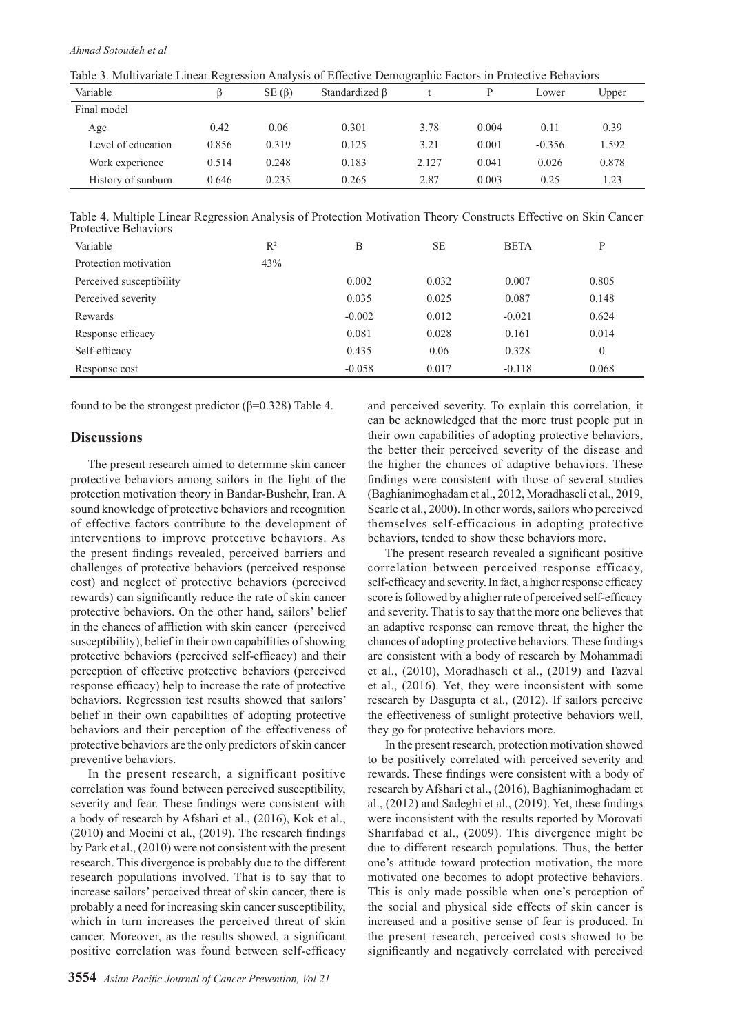| Table 5. Multivariate Linear Regression Analysis of Effective Demographic Factors in Protective Benaviors |       |             |                |       |       |          |       |
|-----------------------------------------------------------------------------------------------------------|-------|-------------|----------------|-------|-------|----------|-------|
| Variable                                                                                                  |       | $SE(\beta)$ | Standardized B |       |       | Lower    | Upper |
| Final model                                                                                               |       |             |                |       |       |          |       |
| Age                                                                                                       | 0.42  | 0.06        | 0.301          | 3.78  | 0.004 | 0.11     | 0.39  |
| Level of education                                                                                        | 0.856 | 0.319       | 0.125          | 3.21  | 0.001 | $-0.356$ | 1.592 |
| Work experience                                                                                           | 0.514 | 0.248       | 0.183          | 2.127 | 0.041 | 0.026    | 0.878 |
| History of sunburn                                                                                        | 0.646 | 0.235       | 0.265          | 2.87  | 0.003 | 0.25     | 1.23  |

Table 3. Multivariate Linear Regression Analysis of Effective Demographic Factors in Protective Behaviors

Table 4. Multiple Linear Regression Analysis of Protection Motivation Theory Constructs Effective on Skin Cancer Protective Behaviors

| Variable                 | $R^2$ | B        | <b>SE</b> | <b>BETA</b> | P        |
|--------------------------|-------|----------|-----------|-------------|----------|
| Protection motivation    | 43%   |          |           |             |          |
| Perceived susceptibility |       | 0.002    | 0.032     | 0.007       | 0.805    |
| Perceived severity       |       | 0.035    | 0.025     | 0.087       | 0.148    |
| Rewards                  |       | $-0.002$ | 0.012     | $-0.021$    | 0.624    |
| Response efficacy        |       | 0.081    | 0.028     | 0.161       | 0.014    |
| Self-efficacy            |       | 0.435    | 0.06      | 0.328       | $\theta$ |
| Response cost            |       | $-0.058$ | 0.017     | $-0.118$    | 0.068    |

found to be the strongest predictor (β=0.328) Table 4.

## **Discussions**

The present research aimed to determine skin cancer protective behaviors among sailors in the light of the protection motivation theory in Bandar-Bushehr, Iran. A sound knowledge of protective behaviors and recognition of effective factors contribute to the development of interventions to improve protective behaviors. As the present findings revealed, perceived barriers and challenges of protective behaviors (perceived response cost) and neglect of protective behaviors (perceived rewards) can significantly reduce the rate of skin cancer protective behaviors. On the other hand, sailors' belief in the chances of affliction with skin cancer (perceived susceptibility), belief in their own capabilities of showing protective behaviors (perceived self-efficacy) and their perception of effective protective behaviors (perceived response efficacy) help to increase the rate of protective behaviors. Regression test results showed that sailors' belief in their own capabilities of adopting protective behaviors and their perception of the effectiveness of protective behaviors are the only predictors of skin cancer preventive behaviors.

In the present research, a significant positive correlation was found between perceived susceptibility, severity and fear. These findings were consistent with a body of research by Afshari et al., (2016), Kok et al., (2010) and Moeini et al., (2019). The research findings by Park et al., (2010) were not consistent with the present research. This divergence is probably due to the different research populations involved. That is to say that to increase sailors' perceived threat of skin cancer, there is probably a need for increasing skin cancer susceptibility, which in turn increases the perceived threat of skin cancer. Moreover, as the results showed, a significant positive correlation was found between self-efficacy and perceived severity. To explain this correlation, it can be acknowledged that the more trust people put in their own capabilities of adopting protective behaviors, the better their perceived severity of the disease and the higher the chances of adaptive behaviors. These findings were consistent with those of several studies (Baghianimoghadam et al., 2012, Moradhaseli et al., 2019, Searle et al., 2000). In other words, sailors who perceived themselves self-efficacious in adopting protective behaviors, tended to show these behaviors more.

The present research revealed a significant positive correlation between perceived response efficacy, self-efficacy and severity. In fact, a higher response efficacy score is followed by a higher rate of perceived self-efficacy and severity. That is to say that the more one believes that an adaptive response can remove threat, the higher the chances of adopting protective behaviors. These findings are consistent with a body of research by Mohammadi et al., (2010), Moradhaseli et al., (2019) and Tazval et al., (2016). Yet, they were inconsistent with some research by Dasgupta et al., (2012). If sailors perceive the effectiveness of sunlight protective behaviors well, they go for protective behaviors more.

In the present research, protection motivation showed to be positively correlated with perceived severity and rewards. These findings were consistent with a body of research by Afshari et al., (2016), Baghianimoghadam et al., (2012) and Sadeghi et al., (2019). Yet, these findings were inconsistent with the results reported by Morovati Sharifabad et al., (2009). This divergence might be due to different research populations. Thus, the better one's attitude toward protection motivation, the more motivated one becomes to adopt protective behaviors. This is only made possible when one's perception of the social and physical side effects of skin cancer is increased and a positive sense of fear is produced. In the present research, perceived costs showed to be significantly and negatively correlated with perceived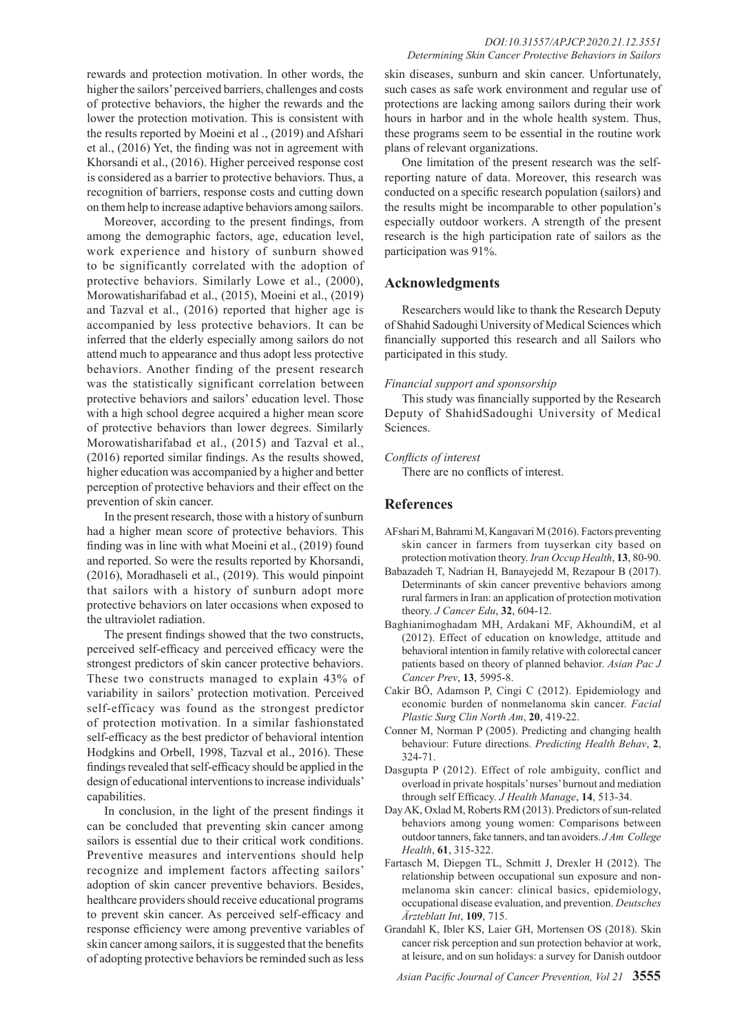rewards and protection motivation. In other words, the higher the sailors' perceived barriers, challenges and costs of protective behaviors, the higher the rewards and the lower the protection motivation. This is consistent with the results reported by Moeini et al ., (2019) and Afshari et al., (2016) Yet, the finding was not in agreement with Khorsandi et al., (2016). Higher perceived response cost is considered as a barrier to protective behaviors. Thus, a recognition of barriers, response costs and cutting down on them help to increase adaptive behaviors among sailors.

Moreover, according to the present findings, from among the demographic factors, age, education level, work experience and history of sunburn showed to be significantly correlated with the adoption of protective behaviors. Similarly Lowe et al., (2000), Morowatisharifabad et al., (2015), Moeini et al., (2019) and Tazval et al., (2016) reported that higher age is accompanied by less protective behaviors. It can be inferred that the elderly especially among sailors do not attend much to appearance and thus adopt less protective behaviors. Another finding of the present research was the statistically significant correlation between protective behaviors and sailors' education level. Those with a high school degree acquired a higher mean score of protective behaviors than lower degrees. Similarly Morowatisharifabad et al., (2015) and Tazval et al., (2016) reported similar findings. As the results showed, higher education was accompanied by a higher and better perception of protective behaviors and their effect on the prevention of skin cancer.

In the present research, those with a history of sunburn had a higher mean score of protective behaviors. This finding was in line with what Moeini et al., (2019) found and reported. So were the results reported by Khorsandi, (2016), Moradhaseli et al., (2019). This would pinpoint that sailors with a history of sunburn adopt more protective behaviors on later occasions when exposed to the ultraviolet radiation.

The present findings showed that the two constructs, perceived self-efficacy and perceived efficacy were the strongest predictors of skin cancer protective behaviors. These two constructs managed to explain 43% of variability in sailors' protection motivation. Perceived self-efficacy was found as the strongest predictor of protection motivation. In a similar fashionstated self-efficacy as the best predictor of behavioral intention Hodgkins and Orbell, 1998, Tazval et al., 2016). These findings revealed that self-efficacy should be applied in the design of educational interventions to increase individuals' capabilities.

In conclusion, in the light of the present findings it can be concluded that preventing skin cancer among sailors is essential due to their critical work conditions. Preventive measures and interventions should help recognize and implement factors affecting sailors' adoption of skin cancer preventive behaviors. Besides, healthcare providers should receive educational programs to prevent skin cancer. As perceived self-efficacy and response efficiency were among preventive variables of skin cancer among sailors, it is suggested that the benefits of adopting protective behaviors be reminded such as less

## *DOI:10.31557/APJCP.2020.21.12.3551 Determining Skin Cancer Protective Behaviors in Sailors*

skin diseases, sunburn and skin cancer. Unfortunately, such cases as safe work environment and regular use of protections are lacking among sailors during their work hours in harbor and in the whole health system. Thus, these programs seem to be essential in the routine work plans of relevant organizations.

One limitation of the present research was the selfreporting nature of data. Moreover, this research was conducted on a specific research population (sailors) and the results might be incomparable to other population's especially outdoor workers. A strength of the present research is the high participation rate of sailors as the participation was 91%.

## **Acknowledgments**

Researchers would like to thank the Research Deputy of Shahid Sadoughi University of Medical Sciences which financially supported this research and all Sailors who participated in this study.

## *Financial support and sponsorship*

This study was financially supported by the Research Deputy of ShahidSadoughi University of Medical **Sciences** 

## *Conflicts of interest*

There are no conflicts of interest.

## **References**

- AFshari M, Bahrami M, Kangavari M (2016). Factors preventing skin cancer in farmers from tuyserkan city based on protection motivation theory. *Iran Occup Health*, **13**, 80-90.
- Babazadeh T, Nadrian H, Banayejedd M, Rezapour B (2017). Determinants of skin cancer preventive behaviors among rural farmers in Iran: an application of protection motivation theory. *J Cancer Edu*, **32**, 604-12.
- Baghianimoghadam MH, Ardakani MF, AkhoundiM, et al (2012). Effect of education on knowledge, attitude and behavioral intention in family relative with colorectal cancer patients based on theory of planned behavior. *Asian Pac J Cancer Prev*, **13**, 5995-8.
- Cakir BÖ, Adamson P, Cingi C (2012). Epidemiology and economic burden of nonmelanoma skin cancer. *Facial Plastic Surg Clin North Am*, **20**, 419-22.
- Conner M, Norman P (2005). Predicting and changing health behaviour: Future directions. *Predicting Health Behav*, **2**, 324-71.
- Dasgupta P (2012). Effect of role ambiguity, conflict and overload in private hospitals' nurses' burnout and mediation through self Efficacy. *J Health Manage*, **14**, 513-34.
- Day AK, Oxlad M, Roberts RM (2013). Predictors of sun-related behaviors among young women: Comparisons between outdoor tanners, fake tanners, and tan avoiders. *J Am College Health*, **61**, 315-322.
- Fartasch M, Diepgen TL, Schmitt J, Drexler H (2012). The relationship between occupational sun exposure and nonmelanoma skin cancer: clinical basics, epidemiology, occupational disease evaluation, and prevention. *Deutsches Ärzteblatt Int*, **109**, 715.
- Grandahl K, Ibler KS, Laier GH, Mortensen OS (2018). Skin cancer risk perception and sun protection behavior at work, at leisure, and on sun holidays: a survey for Danish outdoor

*Asian Pacific Journal of Cancer Prevention, Vol 21* **3555**